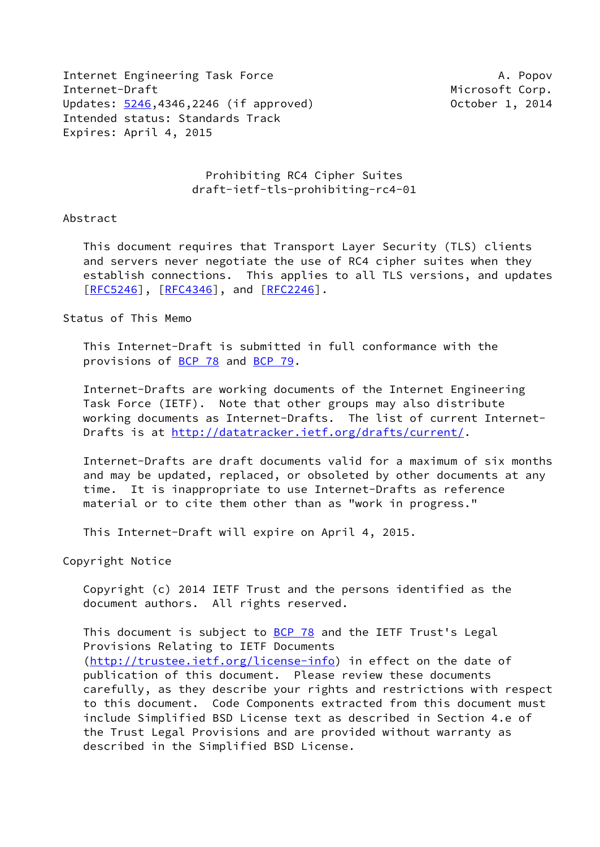Internet Engineering Task Force A. Popov Internet-Draft **Microsoft Corp.** The Microsoft Corp. Updates: [5246](https://datatracker.ietf.org/doc/pdf/rfc5246),4346,2246 (if approved) 0ctober 1, 2014 Intended status: Standards Track Expires: April 4, 2015

 Prohibiting RC4 Cipher Suites draft-ietf-tls-prohibiting-rc4-01

## Abstract

 This document requires that Transport Layer Security (TLS) clients and servers never negotiate the use of RC4 cipher suites when they establish connections. This applies to all TLS versions, and updates [\[RFC5246](https://datatracker.ietf.org/doc/pdf/rfc5246)], [[RFC4346\]](https://datatracker.ietf.org/doc/pdf/rfc4346), and [[RFC2246](https://datatracker.ietf.org/doc/pdf/rfc2246)].

## Status of This Memo

 This Internet-Draft is submitted in full conformance with the provisions of [BCP 78](https://datatracker.ietf.org/doc/pdf/bcp78) and [BCP 79](https://datatracker.ietf.org/doc/pdf/bcp79).

 Internet-Drafts are working documents of the Internet Engineering Task Force (IETF). Note that other groups may also distribute working documents as Internet-Drafts. The list of current Internet- Drafts is at<http://datatracker.ietf.org/drafts/current/>.

 Internet-Drafts are draft documents valid for a maximum of six months and may be updated, replaced, or obsoleted by other documents at any time. It is inappropriate to use Internet-Drafts as reference material or to cite them other than as "work in progress."

This Internet-Draft will expire on April 4, 2015.

Copyright Notice

 Copyright (c) 2014 IETF Trust and the persons identified as the document authors. All rights reserved.

This document is subject to **[BCP 78](https://datatracker.ietf.org/doc/pdf/bcp78)** and the IETF Trust's Legal Provisions Relating to IETF Documents [\(http://trustee.ietf.org/license-info](http://trustee.ietf.org/license-info)) in effect on the date of publication of this document. Please review these documents carefully, as they describe your rights and restrictions with respect to this document. Code Components extracted from this document must include Simplified BSD License text as described in Section 4.e of the Trust Legal Provisions and are provided without warranty as described in the Simplified BSD License.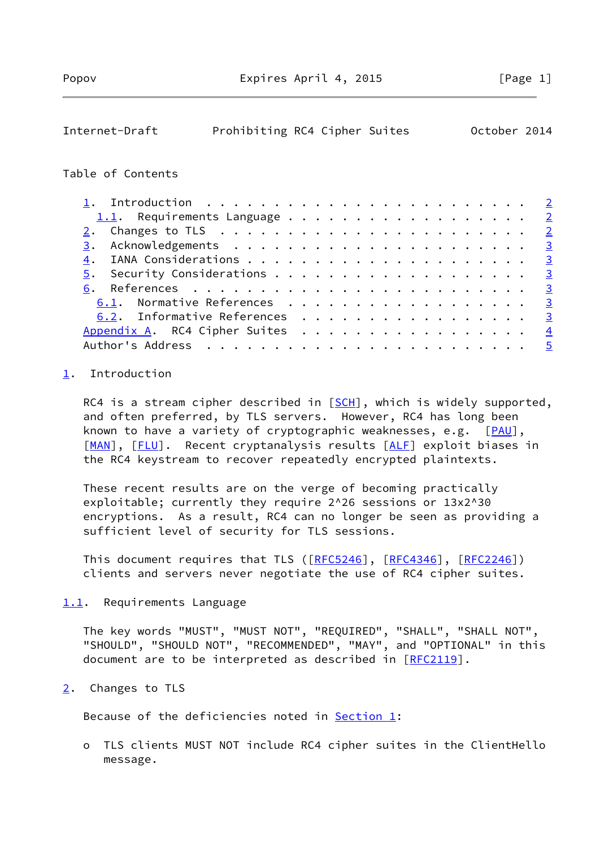# <span id="page-1-1"></span>Internet-Draft Prohibiting RC4 Cipher Suites October 2014

#### Table of Contents

| 1.1. Requirements Language $2$                                                |  |  |  |  |  |  |  |  |  |  |
|-------------------------------------------------------------------------------|--|--|--|--|--|--|--|--|--|--|
| $2.$ Changes to TLS $\ldots \ldots \ldots \ldots \ldots \ldots \ldots \ldots$ |  |  |  |  |  |  |  |  |  |  |
|                                                                               |  |  |  |  |  |  |  |  |  |  |
|                                                                               |  |  |  |  |  |  |  |  |  |  |
|                                                                               |  |  |  |  |  |  |  |  |  |  |
|                                                                               |  |  |  |  |  |  |  |  |  |  |
| 6.1. Normative References 3                                                   |  |  |  |  |  |  |  |  |  |  |
| 6.2. Informative References 3                                                 |  |  |  |  |  |  |  |  |  |  |
| Appendix A. RC4 Cipher Suites $\ldots$ 4                                      |  |  |  |  |  |  |  |  |  |  |
|                                                                               |  |  |  |  |  |  |  |  |  |  |

# <span id="page-1-0"></span>[1](#page-1-0). Introduction

RC4 is a stream cipher described in  $[SCH]$  $[SCH]$ , which is widely supported, and often preferred, by TLS servers. However, RC4 has long been known to have a variety of cryptographic weaknesses, e.g. [[PAU\]](#page-3-4), [\[MAN](#page-3-5)], [\[FLU](#page-3-6)]. Recent cryptanalysis results [\[ALF](#page-3-7)] exploit biases in the RC4 keystream to recover repeatedly encrypted plaintexts.

 These recent results are on the verge of becoming practically exploitable; currently they require 2^26 sessions or 13x2^30 encryptions. As a result, RC4 can no longer be seen as providing a sufficient level of security for TLS sessions.

This document requires that TLS ([\[RFC5246](https://datatracker.ietf.org/doc/pdf/rfc5246)], [\[RFC4346](https://datatracker.ietf.org/doc/pdf/rfc4346)], [\[RFC2246](https://datatracker.ietf.org/doc/pdf/rfc2246)]) clients and servers never negotiate the use of RC4 cipher suites.

<span id="page-1-2"></span>[1.1](#page-1-2). Requirements Language

 The key words "MUST", "MUST NOT", "REQUIRED", "SHALL", "SHALL NOT", "SHOULD", "SHOULD NOT", "RECOMMENDED", "MAY", and "OPTIONAL" in this document are to be interpreted as described in [\[RFC2119](https://datatracker.ietf.org/doc/pdf/rfc2119)].

<span id="page-1-3"></span>[2](#page-1-3). Changes to TLS

Because of the deficiencies noted in [Section 1](#page-1-0):

 o TLS clients MUST NOT include RC4 cipher suites in the ClientHello message.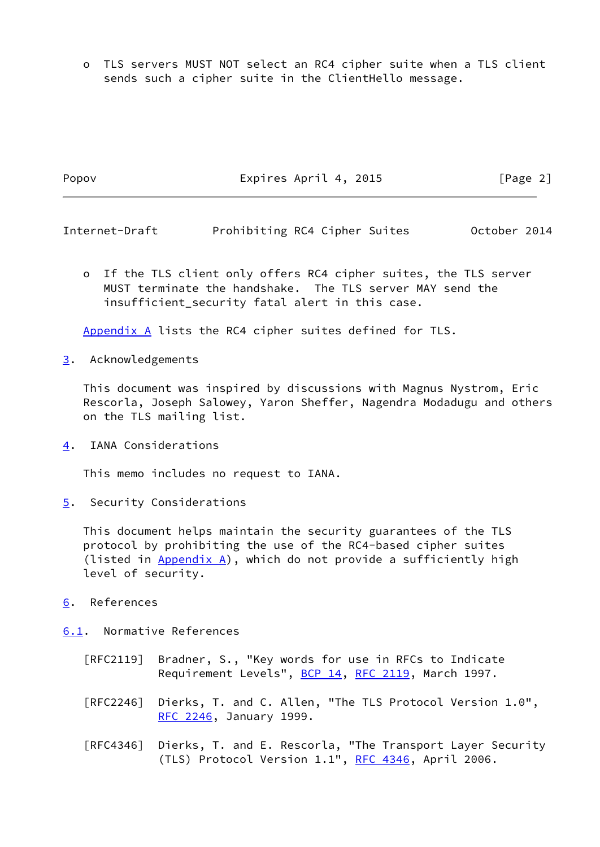o TLS servers MUST NOT select an RC4 cipher suite when a TLS client sends such a cipher suite in the ClientHello message.

Popov **Expires April 4, 2015** [Page 2]

 o If the TLS client only offers RC4 cipher suites, the TLS server MUST terminate the handshake. The TLS server MAY send the

<span id="page-2-1"></span>Internet-Draft Prohibiting RC4 Cipher Suites October 2014

[Appendix A](#page-3-1) lists the RC4 cipher suites defined for TLS.

insufficient security fatal alert in this case.

<span id="page-2-0"></span>[3](#page-2-0). Acknowledgements

 This document was inspired by discussions with Magnus Nystrom, Eric Rescorla, Joseph Salowey, Yaron Sheffer, Nagendra Modadugu and others on the TLS mailing list.

<span id="page-2-2"></span>[4](#page-2-2). IANA Considerations

This memo includes no request to IANA.

<span id="page-2-3"></span>[5](#page-2-3). Security Considerations

 This document helps maintain the security guarantees of the TLS protocol by prohibiting the use of the RC4-based cipher suites (listed in  $Appendix A)$ , which do not provide a sufficiently high level of security.

<span id="page-2-4"></span>[6](#page-2-4). References

<span id="page-2-5"></span>[6.1](#page-2-5). Normative References

- [RFC2119] Bradner, S., "Key words for use in RFCs to Indicate Requirement Levels", [BCP 14](https://datatracker.ietf.org/doc/pdf/bcp14), [RFC 2119](https://datatracker.ietf.org/doc/pdf/rfc2119), March 1997.
- [RFC2246] Dierks, T. and C. Allen, "The TLS Protocol Version 1.0", [RFC 2246,](https://datatracker.ietf.org/doc/pdf/rfc2246) January 1999.
- [RFC4346] Dierks, T. and E. Rescorla, "The Transport Layer Security (TLS) Protocol Version 1.1", [RFC 4346](https://datatracker.ietf.org/doc/pdf/rfc4346), April 2006.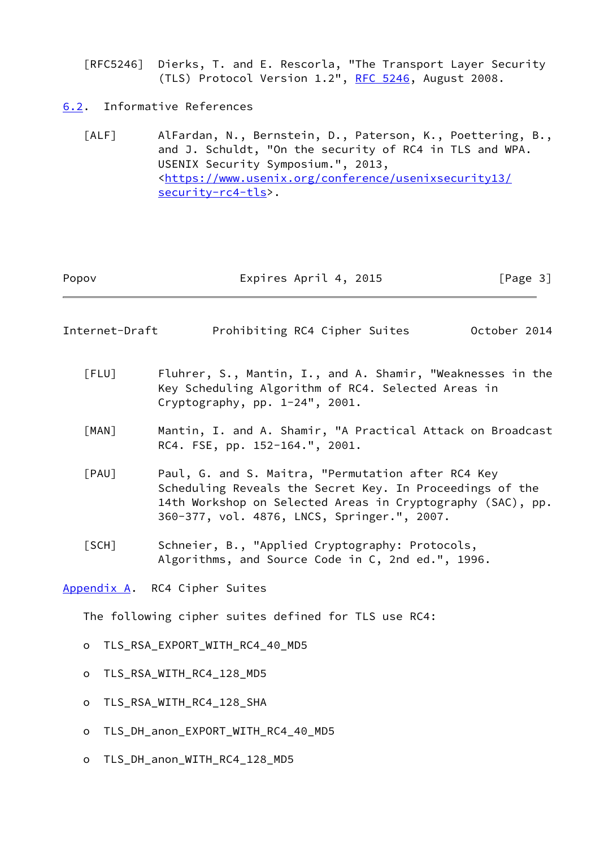[RFC5246] Dierks, T. and E. Rescorla, "The Transport Layer Security (TLS) Protocol Version 1.2", [RFC 5246](https://datatracker.ietf.org/doc/pdf/rfc5246), August 2008.

<span id="page-3-0"></span>[6.2](#page-3-0). Informative References

<span id="page-3-7"></span> [ALF] AlFardan, N., Bernstein, D., Paterson, K., Poettering, B., and J. Schuldt, "On the security of RC4 in TLS and WPA. USENIX Security Symposium.", 2013, <[https://www.usenix.org/conference/usenixsecurity13/](https://www.usenix.org/conference/usenixsecurity13/security-rc4-tls) [security-rc4-tls>](https://www.usenix.org/conference/usenixsecurity13/security-rc4-tls).

| Popov | Expires April 4, 2015 | [Page 3] |  |
|-------|-----------------------|----------|--|
|       |                       |          |  |

<span id="page-3-2"></span>Internet-Draft Prohibiting RC4 Cipher Suites October 2014

<span id="page-3-6"></span> [FLU] Fluhrer, S., Mantin, I., and A. Shamir, "Weaknesses in the Key Scheduling Algorithm of RC4. Selected Areas in Cryptography, pp. 1-24", 2001.

- <span id="page-3-5"></span> [MAN] Mantin, I. and A. Shamir, "A Practical Attack on Broadcast RC4. FSE, pp. 152-164.", 2001.
- <span id="page-3-4"></span> [PAU] Paul, G. and S. Maitra, "Permutation after RC4 Key Scheduling Reveals the Secret Key. In Proceedings of the 14th Workshop on Selected Areas in Cryptography (SAC), pp. 360-377, vol. 4876, LNCS, Springer.", 2007.
- <span id="page-3-3"></span> [SCH] Schneier, B., "Applied Cryptography: Protocols, Algorithms, and Source Code in C, 2nd ed.", 1996.

<span id="page-3-1"></span>[Appendix A.](#page-3-1) RC4 Cipher Suites

The following cipher suites defined for TLS use RC4:

- o TLS\_RSA\_EXPORT\_WITH\_RC4\_40\_MD5
- o TLS\_RSA\_WITH\_RC4\_128\_MD5
- o TLS RSA WITH RC4 128 SHA
- o TLS\_DH\_anon\_EXPORT\_WITH\_RC4\_40\_MD5
- o TLS\_DH\_anon\_WITH\_RC4\_128\_MD5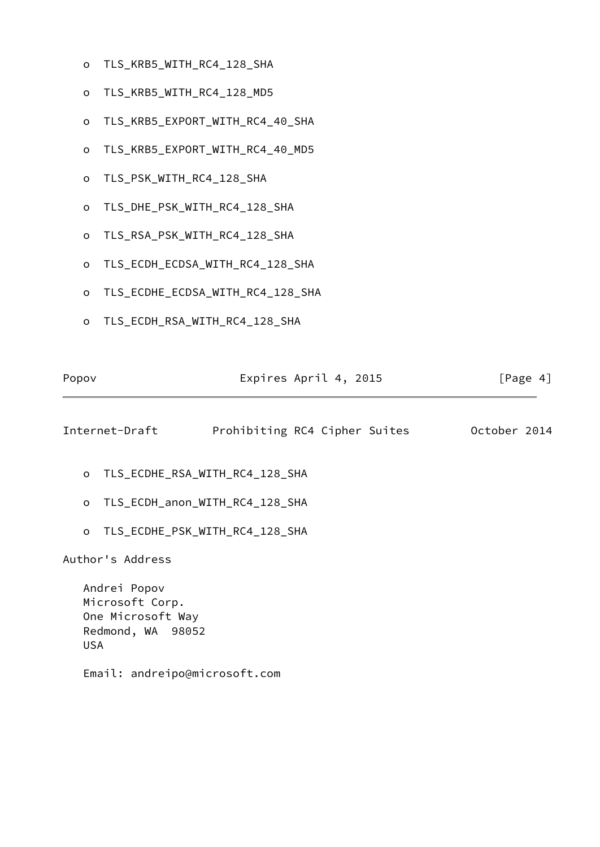- o TLS\_KRB5\_WITH\_RC4\_128\_SHA
- o TLS\_KRB5\_WITH\_RC4\_128\_MD5
- o TLS\_KRB5\_EXPORT\_WITH\_RC4\_40\_SHA
- o TLS\_KRB5\_EXPORT\_WITH\_RC4\_40\_MD5
- o TLS\_PSK\_WITH\_RC4\_128\_SHA
- o TLS\_DHE\_PSK\_WITH\_RC4\_128\_SHA
- o TLS\_RSA\_PSK\_WITH\_RC4\_128\_SHA
- o TLS\_ECDH\_ECDSA\_WITH\_RC4\_128\_SHA
- o TLS\_ECDHE\_ECDSA\_WITH\_RC4\_128\_SHA
- o TLS\_ECDH\_RSA\_WITH\_RC4\_128\_SHA

| Popov | Expires April 4, 2015 | [Page 4] |
|-------|-----------------------|----------|
|       |                       |          |

<span id="page-4-0"></span>Internet-Draft Prohibiting RC4 Cipher Suites October 2014

- o TLS\_ECDHE\_RSA\_WITH\_RC4\_128\_SHA
- o TLS\_ECDH\_anon\_WITH\_RC4\_128\_SHA
- o TLS\_ECDHE\_PSK\_WITH\_RC4\_128\_SHA

Author's Address

 Andrei Popov Microsoft Corp. One Microsoft Way Redmond, WA 98052 USA

Email: andreipo@microsoft.com